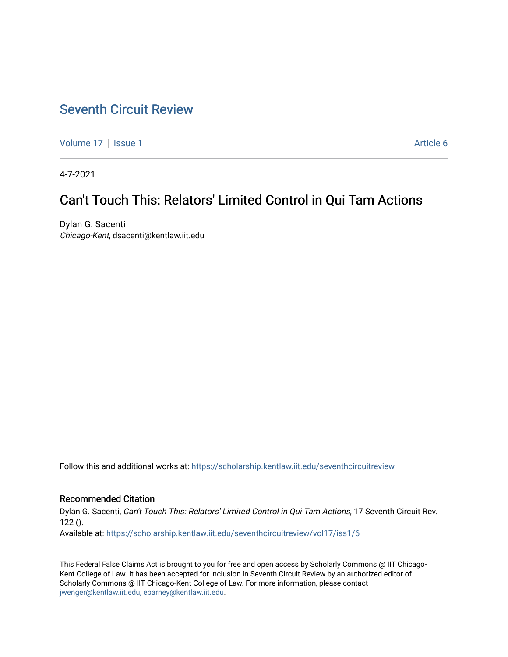## [Seventh Circuit Review](https://scholarship.kentlaw.iit.edu/seventhcircuitreview)

[Volume 17](https://scholarship.kentlaw.iit.edu/seventhcircuitreview/vol17) | [Issue 1](https://scholarship.kentlaw.iit.edu/seventhcircuitreview/vol17/iss1) Article 6

4-7-2021

# Can't Touch This: Relators' Limited Control in Qui Tam Actions

Dylan G. Sacenti Chicago-Kent, dsacenti@kentlaw.iit.edu

Follow this and additional works at: [https://scholarship.kentlaw.iit.edu/seventhcircuitreview](https://scholarship.kentlaw.iit.edu/seventhcircuitreview?utm_source=scholarship.kentlaw.iit.edu%2Fseventhcircuitreview%2Fvol17%2Fiss1%2F6&utm_medium=PDF&utm_campaign=PDFCoverPages) 

## Recommended Citation

Dylan G. Sacenti, Can't Touch This: Relators' Limited Control in Qui Tam Actions, 17 Seventh Circuit Rev.  $122()$ . Available at: [https://scholarship.kentlaw.iit.edu/seventhcircuitreview/vol17/iss1/6](https://scholarship.kentlaw.iit.edu/seventhcircuitreview/vol17/iss1/6?utm_source=scholarship.kentlaw.iit.edu%2Fseventhcircuitreview%2Fvol17%2Fiss1%2F6&utm_medium=PDF&utm_campaign=PDFCoverPages) 

This Federal False Claims Act is brought to you for free and open access by Scholarly Commons @ IIT Chicago-Kent College of Law. It has been accepted for inclusion in Seventh Circuit Review by an authorized editor of Scholarly Commons @ IIT Chicago-Kent College of Law. For more information, please contact [jwenger@kentlaw.iit.edu, ebarney@kentlaw.iit.edu.](mailto:jwenger@kentlaw.iit.edu,%20ebarney@kentlaw.iit.edu)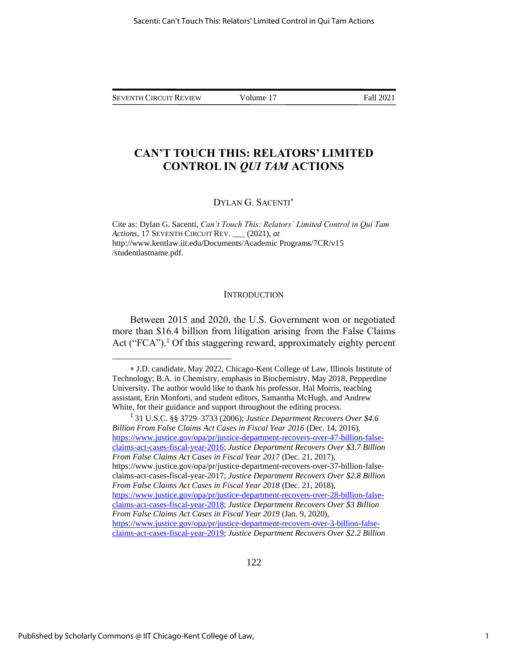## **CAN'T TOUCH THIS: RELATORS' LIMITED CONTROL IN** *QUI TAM* **ACTIONS**

## DYLAN G. SACENTI

Cite as: Dylan G. Sacenti, *Can't Touch This: Relators' Limited Control in Qui Tam Actions*, 17 SEVENTH CIRCUIT REV. \_\_\_ (2021), *at* http://www.kentlaw.iit.edu/Documents/Academic Programs/7CR/v15 /studentlastname.pdf.

#### **INTRODUCTION**

Between 2015 and 2020, the U.S. Government won or negotiated more than \$16.4 billion from litigation arising from the False Claims Act ("FCA").<sup>1</sup> Of this staggering reward, approximately eighty percent

J.D. candidate, May 2022, Chicago-Kent College of Law, Illinois Institute of Technology; B.A. in Chemistry, emphasis in Biochemistry, May 2018, Pepperdine University. The author would like to thank his professor, Hal Morris, teaching assistant, Erin Monforti, and student editors, Samantha McHugh, and Andrew White, for their guidance and support throughout the editing process.

<sup>1</sup> 31 U.S.C. §§ 3729–3733 (2006); *Justice Department Recovers Over \$4.6 Billion From False Claims Act Cases in Fiscal Year 2016* (Dec. 14, 2016), [https://www.justice.gov/opa/pr/justice-department-recovers-over-47-billion-false](https://www.justice.gov/opa/pr/justice-department-recovers-over-47-billion-false-claims-act-cases-fiscal-year-2016)[claims-act-cases-fiscal-year-2016;](https://www.justice.gov/opa/pr/justice-department-recovers-over-47-billion-false-claims-act-cases-fiscal-year-2016) *Justice Department Recovers Over \$3.7 Billion From False Claims Act Cases in Fiscal Year 2017* (Dec. 21, 2017), [https://www.justice.gov/opa/pr/justice-department-recovers-over-37-billion-false](https://www.justice.gov/opa/pr/justice-department-recovers-over-37-billion-false-%20claims-act-cases-fiscal-year-2017)[claims-act-cases-fiscal-year-2017;](https://www.justice.gov/opa/pr/justice-department-recovers-over-37-billion-false-%20claims-act-cases-fiscal-year-2017) *Justice Department Recovers Over \$2.8 Billion From False Claims Act Cases in Fiscal Year 2018* (Dec. 21, 2018), [https://www.justice.gov/opa/pr/justice-department-recovers-over-28-billion-false](https://www.justice.gov/opa/pr/justice-department-recovers-over-28-billion-false-claims-act-cases-fiscal-year-2018)[claims-act-cases-fiscal-year-2018;](https://www.justice.gov/opa/pr/justice-department-recovers-over-28-billion-false-claims-act-cases-fiscal-year-2018) *Justice Department Recovers Over \$3 Billion From False Claims Act Cases in Fiscal Year 2019* (Jan. 9, 2020), [https://www.justice.gov/opa/pr/justice-department-recovers-over-3-billion-false](https://www.justice.gov/opa/pr/justice-department-recovers-over-3-billion-false-claims-act-cases-fiscal-year-2019)[claims-act-cases-fiscal-year-2019;](https://www.justice.gov/opa/pr/justice-department-recovers-over-3-billion-false-claims-act-cases-fiscal-year-2019) *Justice Department Recovers Over \$2.2 Billion*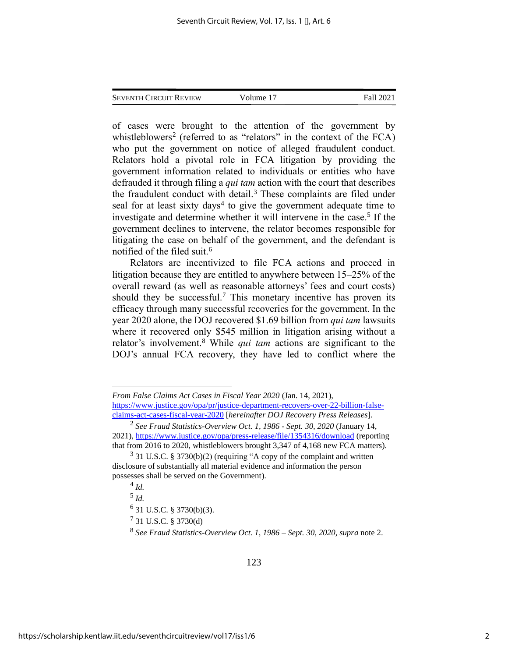of cases were brought to the attention of the government by whistleblowers<sup>2</sup> (referred to as "relators" in the context of the  $FCA$ ) who put the government on notice of alleged fraudulent conduct. Relators hold a pivotal role in FCA litigation by providing the government information related to individuals or entities who have defrauded it through filing a *qui tam* action with the court that describes the fraudulent conduct with detail. $3$  These complaints are filed under seal for at least sixty days<sup>4</sup> to give the government adequate time to investigate and determine whether it will intervene in the case. 5 If the government declines to intervene, the relator becomes responsible for litigating the case on behalf of the government, and the defendant is notified of the filed suit.<sup>6</sup>

Relators are incentivized to file FCA actions and proceed in litigation because they are entitled to anywhere between 15–25% of the overall reward (as well as reasonable attorneys' fees and court costs) should they be successful.<sup>7</sup> This monetary incentive has proven its efficacy through many successful recoveries for the government. In the year 2020 alone, the DOJ recovered \$1.69 billion from *qui tam* lawsuits where it recovered only \$545 million in litigation arising without a relator's involvement. <sup>8</sup> While *qui tam* actions are significant to the DOJ's annual FCA recovery, they have led to conflict where the

4 *Id.*

5 *Id.*

 $6$  31 U.S.C. § 3730(b)(3).

7 31 U.S.C. § 3730(d)

8 *See Fraud Statistics-Overview Oct. 1, 1986 – Sept. 30, 2020, supra* note 2.

*From False Claims Act Cases in Fiscal Year 2020* (Jan. 14, 2021), [https://www.justice.gov/opa/pr/justice-department-recovers-over-22-billion-false](https://www.justice.gov/opa/pr/justice-department-recovers-over-22-billion-false-claims-act-cases-fiscal-year-2020)[claims-act-cases-fiscal-year-2020](https://www.justice.gov/opa/pr/justice-department-recovers-over-22-billion-false-claims-act-cases-fiscal-year-2020) [*hereinafter DOJ Recovery Press Releases*].

<sup>2</sup> *See Fraud Statistics-Overview Oct. 1, 1986 - Sept. 30, 2020* (January 14, 2021)[, https://www.justice.gov/opa/press-release/file/1354316/download](https://www.justice.gov/opa/press-release/file/1354316/download) (reporting that from 2016 to 2020, whistleblowers brought 3,347 of 4,168 new FCA matters).

 $3$  31 U.S.C. § 3730(b)(2) (requiring "A copy of the complaint and written disclosure of substantially all material evidence and information the person possesses shall be served on the Government).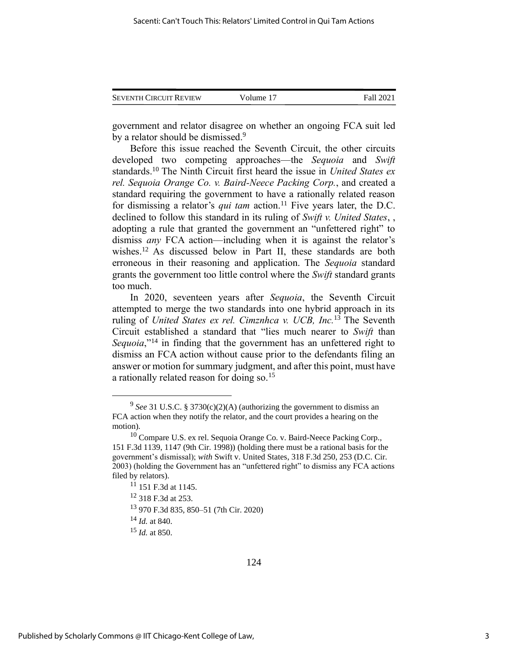| <b>SEVENTH CIRCUIT REVIEW</b> | Volume 17 | Fall 2021 |
|-------------------------------|-----------|-----------|
|                               |           |           |

government and relator disagree on whether an ongoing FCA suit led by a relator should be dismissed.<sup>9</sup>

Before this issue reached the Seventh Circuit, the other circuits developed two competing approaches—the *Sequoia* and *Swift* standards. <sup>10</sup> The Ninth Circuit first heard the issue in *United States ex rel. Sequoia Orange Co. v. Baird-Neece Packing Corp.*, and created a standard requiring the government to have a rationally related reason for dismissing a relator's *qui tam* action. <sup>11</sup> Five years later, the D.C. declined to follow this standard in its ruling of *Swift v. United States*, , adopting a rule that granted the government an "unfettered right" to dismiss *any* FCA action—including when it is against the relator's wishes. <sup>12</sup> As discussed below in Part II, these standards are both erroneous in their reasoning and application. The *Sequoia* standard grants the government too little control where the *Swift* standard grants too much.

In 2020, seventeen years after *Sequoia*, the Seventh Circuit attempted to merge the two standards into one hybrid approach in its ruling of *United States ex rel. Cimznhca v. UCB, Inc.*<sup>13</sup> The Seventh Circuit established a standard that "lies much nearer to *Swift* than *Sequoia*,"<sup>14</sup> in finding that the government has an unfettered right to dismiss an FCA action without cause prior to the defendants filing an answer or motion for summary judgment, and after this point, must have a rationally related reason for doing so.<sup>15</sup>

<sup>&</sup>lt;sup>9</sup> See 31 U.S.C. § 3730(c)(2)(A) (authorizing the government to dismiss an FCA action when they notify the relator, and the court provides a hearing on the motion).

<sup>&</sup>lt;sup>10</sup> Compare U.S. ex rel. Sequoia Orange Co. v. Baird-Neece Packing Corp., 151 F.3d 1139, 1147 (9th Cir. 1998)) (holding there must be a rational basis for the government's dismissal); *with* Swift v. United States, 318 F.3d 250, 253 (D.C. Cir. 2003) (holding the Government has an "unfettered right" to dismiss any FCA actions filed by relators).

<sup>11</sup> 151 F.3d at 1145.

<sup>12</sup> 318 F.3d at 253.

<sup>13</sup> 970 F.3d 835, 850–51 (7th Cir. 2020)

<sup>14</sup> *Id.* at 840.

<sup>15</sup> *Id.* at 850.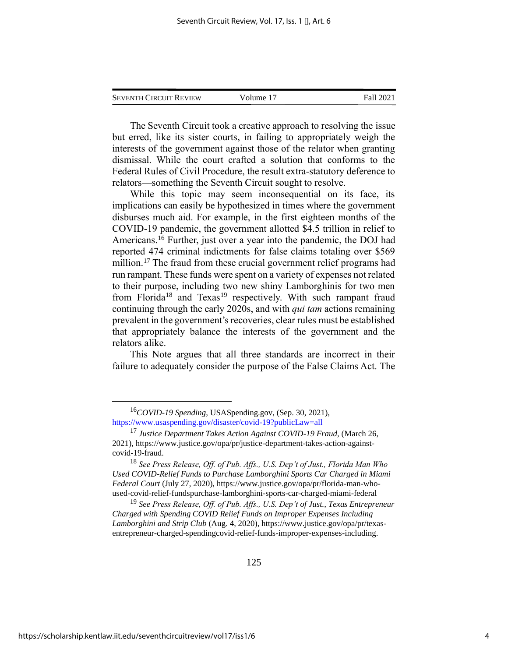| <b>SEVENTH CIRCUIT REVIEW</b> | Volume 17 | Fall 2021 |
|-------------------------------|-----------|-----------|
|                               |           |           |

The Seventh Circuit took a creative approach to resolving the issue but erred, like its sister courts, in failing to appropriately weigh the interests of the government against those of the relator when granting dismissal. While the court crafted a solution that conforms to the Federal Rules of Civil Procedure, the result extra-statutory deference to relators—something the Seventh Circuit sought to resolve.

While this topic may seem inconsequential on its face, its implications can easily be hypothesized in times where the government disburses much aid. For example, in the first eighteen months of the COVID-19 pandemic, the government allotted \$4.5 trillion in relief to Americans.<sup>16</sup> Further, just over a year into the pandemic, the DOJ had reported 474 criminal indictments for false claims totaling over \$569 million.<sup>17</sup> The fraud from these crucial government relief programs had run rampant. These funds were spent on a variety of expenses not related to their purpose, including two new shiny Lamborghinis for two men from Florida<sup>18</sup> and Texas<sup>19</sup> respectively. With such rampant fraud continuing through the early 2020s, and with *qui tam* actions remaining prevalent in the government's recoveries, clear rules must be established that appropriately balance the interests of the government and the relators alike.

This Note argues that all three standards are incorrect in their failure to adequately consider the purpose of the False Claims Act. The

<sup>16</sup>*COVID-19 Spending*, USASpending.gov, (Sep. 30, 2021), <https://www.usaspending.gov/disaster/covid-19?publicLaw=all>

<sup>17</sup> *Justice Department Takes Action Against COVID-19 Fraud*, (March 26, 2021), https://www.justice.gov/opa/pr/justice-department-takes-action-againstcovid-19-fraud.

<sup>18</sup> *See Press Release, Off. of Pub. Affs., U.S. Dep't of Just., Florida Man Who Used COVID-Relief Funds to Purchase Lamborghini Sports Car Charged in Miami Federal Court* (July 27, 2020), https://www.justice.gov/opa/pr/florida-man-whoused-covid-relief-fundspurchase-lamborghini-sports-car-charged-miami-federal

<sup>19</sup> *See Press Release, Off. of Pub. Affs., U.S. Dep't of Just., Texas Entrepreneur Charged with Spending COVID Relief Funds on Improper Expenses Including Lamborghini and Strip Club* (Aug. 4, 2020), https://www.justice.gov/opa/pr/texasentrepreneur-charged-spendingcovid-relief-funds-improper-expenses-including.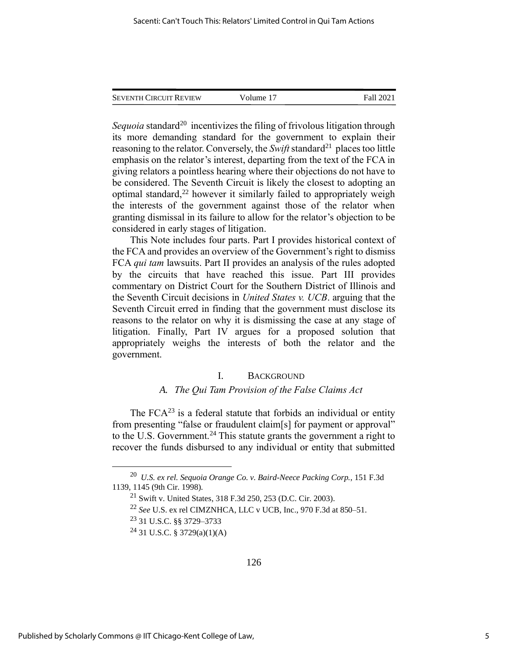*Sequoia* standard<sup>20</sup> incentivizes the filing of frivolous litigation through its more demanding standard for the government to explain their reasoning to the relator. Conversely, the *Swift* standard<sup>21</sup> places too little emphasis on the relator's interest, departing from the text of the FCA in giving relators a pointless hearing where their objections do not have to be considered. The Seventh Circuit is likely the closest to adopting an optimal standard, <sup>22</sup> however it similarly failed to appropriately weigh the interests of the government against those of the relator when granting dismissal in its failure to allow for the relator's objection to be considered in early stages of litigation.

This Note includes four parts. Part I provides historical context of the FCA and provides an overview of the Government's right to dismiss FCA *qui tam* lawsuits. Part II provides an analysis of the rules adopted by the circuits that have reached this issue. Part III provides commentary on District Court for the Southern District of Illinois and the Seventh Circuit decisions in *United States v. UCB*. arguing that the Seventh Circuit erred in finding that the government must disclose its reasons to the relator on why it is dismissing the case at any stage of litigation. Finally, Part IV argues for a proposed solution that appropriately weighs the interests of both the relator and the government.

## I. BACKGROUND

## *A. The Qui Tam Provision of the False Claims Act*

The  $FCA^{23}$  is a federal statute that forbids an individual or entity from presenting "false or fraudulent claim[s] for payment or approval" to the U.S. Government. <sup>24</sup> This statute grants the government a right to recover the funds disbursed to any individual or entity that submitted

<sup>20</sup> *U.S. ex rel. Sequoia Orange Co. v. Baird-Neece Packing Corp.*, 151 F.3d 1139, 1145 (9th Cir. 1998).

<sup>21</sup> Swift v. United States, 318 F.3d 250, 253 (D.C. Cir. 2003).

<sup>22</sup> *See* U.S. ex rel CIMZNHCA, LLC v UCB, Inc., 970 F.3d at 850–51.

<sup>23</sup> 31 U.S.C. §§ 3729–3733

 $^{24}$  31 U.S.C. § 3729(a)(1)(A)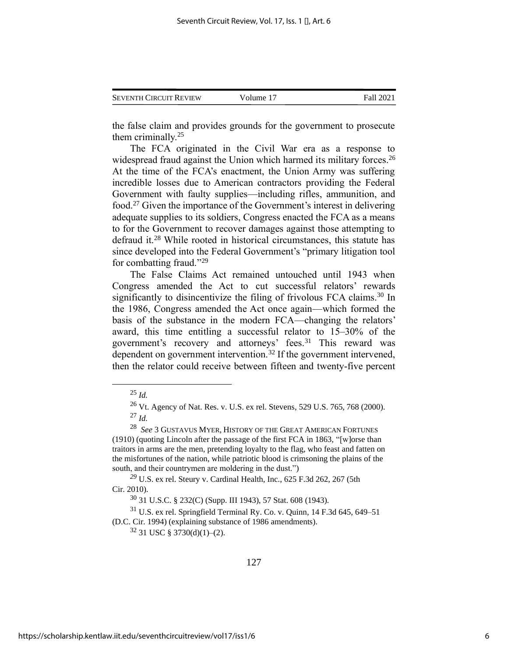| <b>SEVENTH CIRCUIT REVIEW</b> | Volume 17 | Fall 2021 |
|-------------------------------|-----------|-----------|
|                               |           |           |

the false claim and provides grounds for the government to prosecute them criminally. 25

The FCA originated in the Civil War era as a response to widespread fraud against the Union which harmed its military forces.<sup>26</sup> At the time of the FCA's enactment, the Union Army was suffering incredible losses due to American contractors providing the Federal Government with faulty supplies—including rifles, ammunition, and food.<sup>27</sup> Given the importance of the Government's interest in delivering adequate supplies to its soldiers, Congress enacted the FCA as a means to for the Government to recover damages against those attempting to defraud it.<sup>28</sup> While rooted in historical circumstances, this statute has since developed into the Federal Government's "primary litigation tool for combatting fraud."<sup>29</sup>

The False Claims Act remained untouched until 1943 when Congress amended the Act to cut successful relators' rewards significantly to disincentivize the filing of frivolous FCA claims.<sup>30</sup> In the 1986, Congress amended the Act once again—which formed the basis of the substance in the modern FCA—changing the relators' award, this time entitling a successful relator to 15–30% of the government's recovery and attorneys' fees.<sup>31</sup> This reward was dependent on government intervention.<sup>32</sup> If the government intervened, then the relator could receive between fifteen and twenty-five percent

*<sup>29</sup>* U.S. ex rel. Steury v. Cardinal Health, Inc*.*, 625 F.3d 262, 267 (5th Cir. 2010).

<sup>30</sup> 31 U.S.C. § 232(C) (Supp. III 1943), 57 Stat. 608 (1943).

 $31$  U.S. ex rel. Springfield Terminal Ry. Co. v. Quinn, 14 F.3d 645, 649–51 (D.C. Cir. 1994) (explaining substance of 1986 amendments).

 $32$  31 USC § 3730(d)(1)–(2).

<sup>25</sup> *Id.*

<sup>26</sup> Vt. Agency of Nat. Res. v. U.S. ex rel. Stevens, 529 U.S. 765, 768 (2000). <sup>27</sup> *Id.*

<sup>28</sup> *See* 3 GUSTAVUS MYER, HISTORY OF THE GREAT AMERICAN FORTUNES (1910) (quoting Lincoln after the passage of the first FCA in 1863, "[w]orse than traitors in arms are the men, pretending loyalty to the flag, who feast and fatten on the misfortunes of the nation, while patriotic blood is crimsoning the plains of the south, and their countrymen are moldering in the dust.")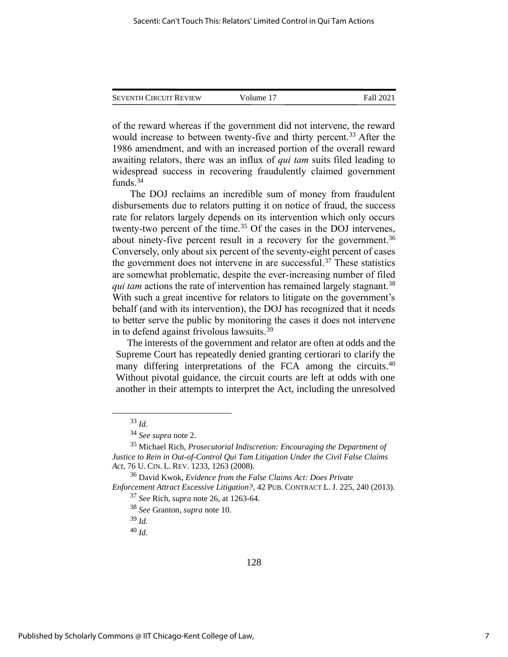| <b>SEVENTH CIRCUIT REVIEW</b> | Volume 17 | Fall 2021 |
|-------------------------------|-----------|-----------|
|                               |           |           |

of the reward whereas if the government did not intervene, the reward would increase to between twenty-five and thirty percent.<sup>33</sup> After the 1986 amendment, and with an increased portion of the overall reward awaiting relators, there was an influx of *qui tam* suits filed leading to widespread success in recovering fraudulently claimed government funds. 34

The DOJ reclaims an incredible sum of money from fraudulent disbursements due to relators putting it on notice of fraud, the success rate for relators largely depends on its intervention which only occurs twenty-two percent of the time.<sup>35</sup> Of the cases in the DOJ intervenes, about ninety-five percent result in a recovery for the government.<sup>36</sup> Conversely, only about six percent of the seventy-eight percent of cases the government does not intervene in are successful.<sup>37</sup> These statistics are somewhat problematic, despite the ever-increasing number of filed *qui tam* actions the rate of intervention has remained largely stagnant.<sup>38</sup> With such a great incentive for relators to litigate on the government's behalf (and with its intervention), the DOJ has recognized that it needs to better serve the public by monitoring the cases it does not intervene in to defend against frivolous lawsuits.<sup>39</sup>

The interests of the government and relator are often at odds and the Supreme Court has repeatedly denied granting certiorari to clarify the many differing interpretations of the FCA among the circuits.<sup>40</sup> Without pivotal guidance, the circuit courts are left at odds with one another in their attempts to interpret the Act, including the unresolved

<sup>40</sup> *Id.*

<sup>33</sup> *Id.*

<sup>34</sup> *See supra* note 2.

<sup>35</sup> Michael Rich, *Prosecutorial Indiscretion: Encouraging the Department of Justice to Rein in Out-of-Control Qui Tam Litigation Under the Civil False Claims Act*, 76 U. CIN. L. REV. 1233, 1263 (2008).

<sup>36</sup> David Kwok, *Evidence from the False Claims Act: Does Private* 

*Enforcement Attract Excessive Litigation?*, 42 PUB. CONTRACT L. J. 225, 240 (2013). <sup>37</sup> *See* Rich, *supra* note 26, at 1263-64.

<sup>38</sup> *See* Granton, *supra* note 10.

<sup>39</sup> *Id.*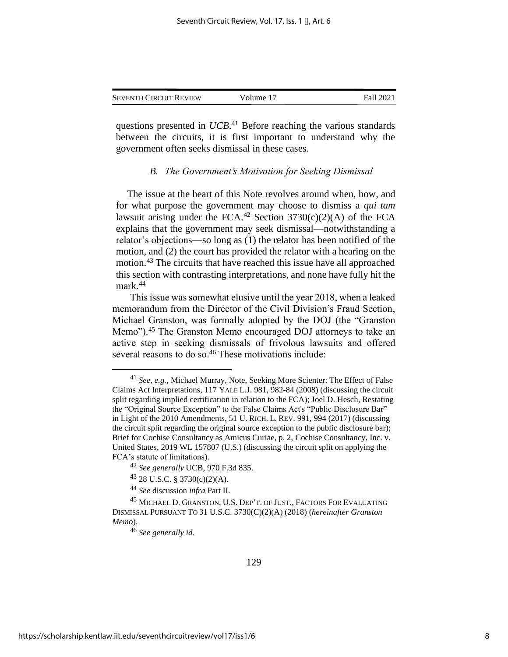| <b>SEVENTH CIRCUIT REVIEW</b> | Volume 17 | Fall 2021 |
|-------------------------------|-----------|-----------|
|                               |           |           |

questions presented in *UCB*. <sup>41</sup> Before reaching the various standards between the circuits, it is first important to understand why the government often seeks dismissal in these cases.

#### *B. The Government's Motivation for Seeking Dismissal*

The issue at the heart of this Note revolves around when, how, and for what purpose the government may choose to dismiss a *qui tam* lawsuit arising under the FCA.<sup>42</sup> Section 3730(c)(2)(A) of the FCA explains that the government may seek dismissal—notwithstanding a relator's objections—so long as (1) the relator has been notified of the motion, and (2) the court has provided the relator with a hearing on the motion.<sup>43</sup> The circuits that have reached this issue have all approached this section with contrasting interpretations, and none have fully hit the mark. 44

This issue was somewhat elusive until the year 2018, when a leaked memorandum from the Director of the Civil Division's Fraud Section, Michael Granston, was formally adopted by the DOJ (the "Granston Memo").<sup>45</sup> The Granston Memo encouraged DOJ attorneys to take an active step in seeking dismissals of frivolous lawsuits and offered several reasons to do so.<sup>46</sup> These motivations include:

<sup>41</sup> *See, e.g.*, Michael Murray, Note, Seeking More Scienter: The Effect of False Claims Act Interpretations, 117 YALE L.J. 981, 982-84 (2008) (discussing the circuit split regarding implied certification in relation to the FCA); Joel D. Hesch, Restating the "Original Source Exception" to the False Claims Act's "Public Disclosure Bar" in Light of the 2010 Amendments, 51 U. RICH. L. REV. 991, 994 (2017) (discussing the circuit split regarding the original source exception to the public disclosure bar); Brief for Cochise Consultancy as Amicus Curiae, p. 2, Cochise Consultancy, Inc. v. United States, 2019 WL 157807 (U.S.) (discussing the circuit split on applying the FCA's statute of limitations).

<sup>42</sup> *See generally* UCB, 970 F.3d 835.

 $43$  28 U.S.C. § 3730(c)(2)(A).

<sup>44</sup> *See* discussion *infra* Part II.

<sup>&</sup>lt;sup>45</sup> MICHAEL D. GRANSTON, U.S. DEP'T. OF JUST., FACTORS FOR EVALUATING DISMISSAL PURSUANT TO 31 U.S.C. 3730(C)(2)(A) (2018) (*hereinafter Granston Memo*).

<sup>46</sup> *See generally id.*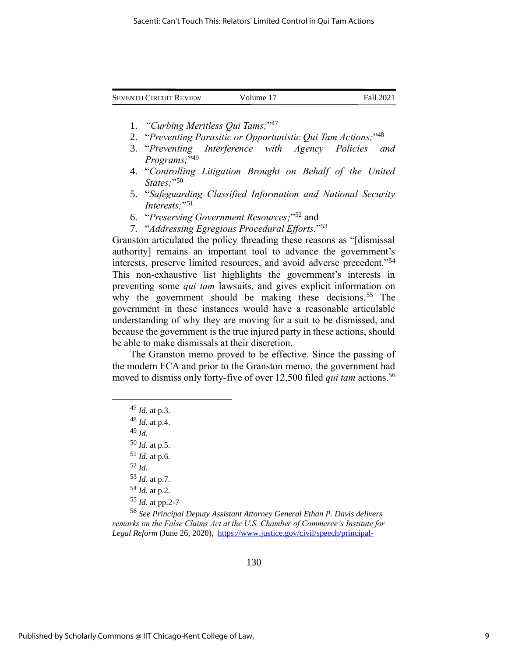| <b>SEVENTH CIRCUIT REVIEW</b> | Volume 17 | Fall 2021 |
|-------------------------------|-----------|-----------|
|                               |           |           |

- 1. *"Curbing Meritless Qui Tams;*" 47
- 2. "*Preventing Parasitic or Opportunistic Qui Tam Actions;*" 48
- 3. "*Preventing Interference with Agency Policies and Programs;*" 49
- 4. "*Controlling Litigation Brought on Behalf of the United States;*" 50
- 5. "*Safeguarding Classified Information and National Security Interests;*" 51
- 6. "*Preserving Government Resources;*" <sup>52</sup> and
- 7. "*Addressing Egregious Procedural Efforts.*" 53

Granston articulated the policy threading these reasons as "[dismissal authority] remains an important tool to advance the government's interests, preserve limited resources, and avoid adverse precedent."<sup>54</sup> This non-exhaustive list highlights the government's interests in preventing some *qui tam* lawsuits, and gives explicit information on why the government should be making these decisions.<sup>55</sup> The government in these instances would have a reasonable articulable understanding of why they are moving for a suit to be dismissed, and because the government is the true injured party in these actions, should be able to make dismissals at their discretion.

The Granston memo proved to be effective. Since the passing of the modern FCA and prior to the Granston memo, the government had moved to dismiss only forty-five of over 12,500 filed *qui tam* actions.<sup>56</sup>

 *Id.* at p.3. *Id.* at p.4. <sup>49</sup> *Id. Id.* at p.5. *Id.* at p.6. <sup>52</sup> *Id. Id.* at p.7. *Id.* at p.2. *Id.* at pp.2-7

<sup>56</sup> *See Principal Deputy Assistant Attorney General Ethan P. Davis delivers remarks on the False Claims Act at the U.S. Chamber of Commerce's Institute for Legal Reform* (June 26, 2020), [https://www.justice.gov/civil/speech/principal-](https://www.justice.gov/civil/speech/principal-deputy-assistant-attorney-general-ethan-p-davis-delivers-remarks-false-claims)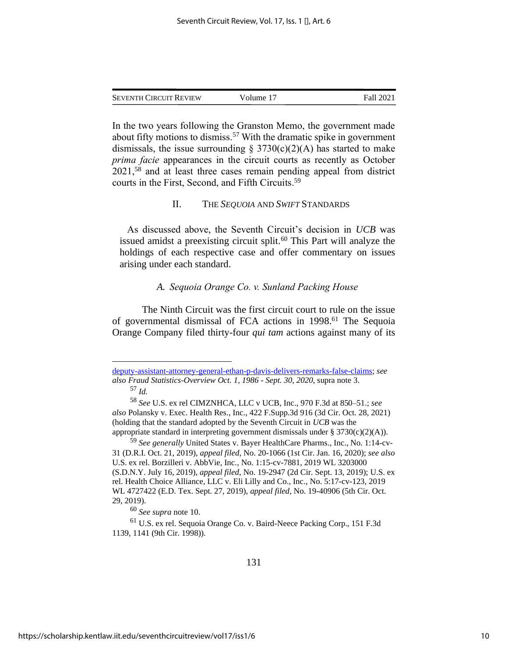In the two years following the Granston Memo, the government made about fifty motions to dismiss.<sup>57</sup> With the dramatic spike in government dismissals, the issue surrounding  $\S$  3730(c)(2)(A) has started to make *prima facie* appearances in the circuit courts as recently as October  $2021$ ,<sup>58</sup> and at least three cases remain pending appeal from district courts in the First, Second, and Fifth Circuits. 59

#### II. THE *SEQUOIA* AND *SWIFT* STANDARDS

As discussed above, the Seventh Circuit's decision in *UCB* was issued amidst a preexisting circuit split. <sup>60</sup> This Part will analyze the holdings of each respective case and offer commentary on issues arising under each standard.

## *A. Sequoia Orange Co. v. Sunland Packing House*

The Ninth Circuit was the first circuit court to rule on the issue of governmental dismissal of FCA actions in 1998. <sup>61</sup> The Sequoia Orange Company filed thirty-four *qui tam* actions against many of its

[deputy-assistant-attorney-general-ethan-p-davis-delivers-remarks-false-claims;](https://www.justice.gov/civil/speech/principal-deputy-assistant-attorney-general-ethan-p-davis-delivers-remarks-false-claims) *see also Fraud Statistics-Overview Oct. 1, 1986 - Sept. 30, 2020*, supra note 3. <sup>57</sup> *Id.*

<sup>60</sup> *See supra* note 10.

<sup>58</sup> *See* U.S. ex rel CIMZNHCA, LLC v UCB, Inc., 970 F.3d at 850–51.; *see also* Polansky v. Exec. Health Res., Inc., 422 F.Supp.3d 916 (3d Cir. Oct. 28, 2021) (holding that the standard adopted by the Seventh Circuit in *UCB* was the appropriate standard in interpreting government dismissals under § 3730(c)(2)(A)).

<sup>59</sup> *See generally* United States v. Bayer HealthCare Pharms., Inc., No. 1:14-cv-31 (D.R.I. Oct. 21, 2019), *appeal filed*, No. 20-1066 (1st Cir. Jan. 16, 2020); *see also* U.S. ex rel. Borzilleri v. AbbVie, Inc*.*, No. 1:15-cv-7881, 2019 WL 3203000 (S.D.N.Y. July 16, 2019), *appeal filed*, No. 19-2947 (2d Cir. Sept. 13, 2019); U.S. ex rel. Health Choice Alliance, LLC v. Eli Lilly and Co., Inc., No. 5:17-cv-123, 2019 WL 4727422 (E.D. Tex. Sept. 27, 2019), *appeal filed*, No. 19-40906 (5th Cir. Oct. 29, 2019).

<sup>61</sup> U.S. ex rel. Sequoia Orange Co. v. Baird-Neece Packing Corp., 151 F.3d 1139, 1141 (9th Cir. 1998)).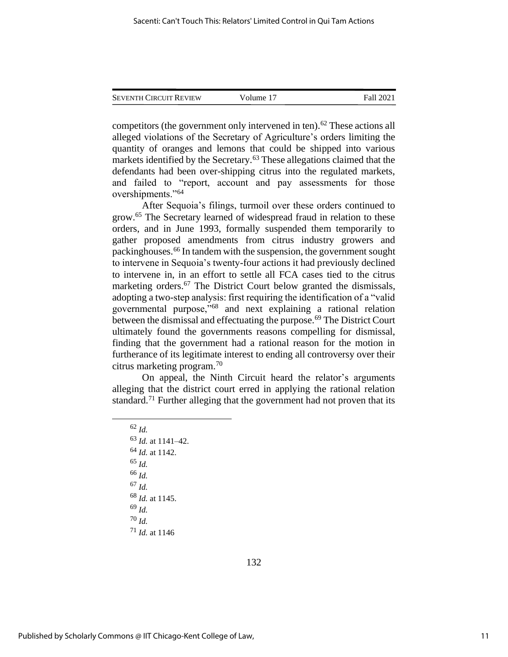| <b>SEVENTH CIRCUIT REVIEW</b> | Volume 17 | Fall 2021 |
|-------------------------------|-----------|-----------|
|                               |           |           |

competitors (the government only intervened in ten). <sup>62</sup> These actions all alleged violations of the Secretary of Agriculture's orders limiting the quantity of oranges and lemons that could be shipped into various markets identified by the Secretary.<sup>63</sup> These allegations claimed that the defendants had been over-shipping citrus into the regulated markets, and failed to "report, account and pay assessments for those overshipments."<sup>64</sup>

After Sequoia's filings, turmoil over these orders continued to grow. <sup>65</sup> The Secretary learned of widespread fraud in relation to these orders, and in June 1993, formally suspended them temporarily to gather proposed amendments from citrus industry growers and packinghouses.<sup>66</sup> In tandem with the suspension, the government sought to intervene in Sequoia's twenty-four actions it had previously declined to intervene in, in an effort to settle all FCA cases tied to the citrus marketing orders.<sup>67</sup> The District Court below granted the dismissals, adopting a two-step analysis: first requiring the identification of a "valid governmental purpose,"<sup>68</sup> and next explaining a rational relation between the dismissal and effectuating the purpose.<sup>69</sup> The District Court ultimately found the governments reasons compelling for dismissal, finding that the government had a rational reason for the motion in furtherance of its legitimate interest to ending all controversy over their citrus marketing program.<sup>70</sup>

On appeal, the Ninth Circuit heard the relator's arguments alleging that the district court erred in applying the rational relation standard.<sup>71</sup> Further alleging that the government had not proven that its

<sup>62</sup> *Id.* <sup>63</sup> *Id.* at 1141–42. <sup>64</sup> *Id.* at 1142. <sup>65</sup> *Id.* <sup>66</sup> *Id.* <sup>67</sup> *Id.* <sup>68</sup> *Id.* at 1145. <sup>69</sup> *Id.* <sup>70</sup> *Id.* <sup>71</sup> *Id.* at 1146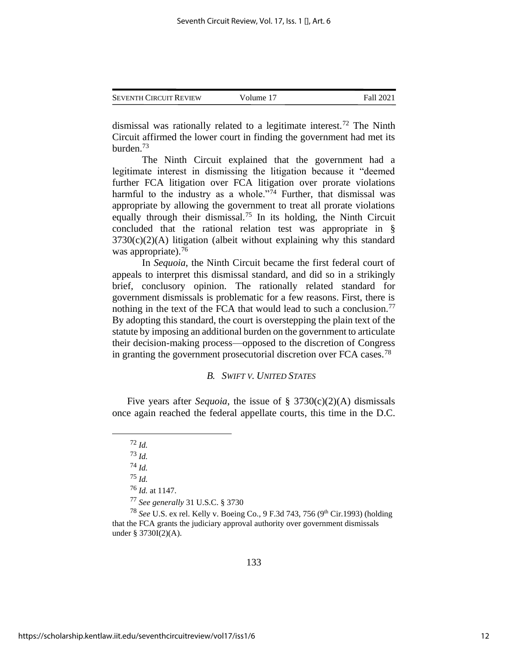| <b>SEVENTH CIRCUIT REVIEW</b> | Volume 17 | Fall 2021 |
|-------------------------------|-----------|-----------|
|                               |           |           |

dismissal was rationally related to a legitimate interest.<sup>72</sup> The Ninth Circuit affirmed the lower court in finding the government had met its burden.<sup>73</sup>

The Ninth Circuit explained that the government had a legitimate interest in dismissing the litigation because it "deemed further FCA litigation over FCA litigation over prorate violations harmful to the industry as a whole."<sup>74</sup> Further, that dismissal was appropriate by allowing the government to treat all prorate violations equally through their dismissal.<sup>75</sup> In its holding, the Ninth Circuit concluded that the rational relation test was appropriate in §  $3730(c)(2)(A)$  litigation (albeit without explaining why this standard was appropriate).<sup>76</sup>

In *Sequoia*, the Ninth Circuit became the first federal court of appeals to interpret this dismissal standard, and did so in a strikingly brief, conclusory opinion. The rationally related standard for government dismissals is problematic for a few reasons. First, there is nothing in the text of the FCA that would lead to such a conclusion.<sup>77</sup> By adopting this standard, the court is overstepping the plain text of the statute by imposing an additional burden on the government to articulate their decision-making process—opposed to the discretion of Congress in granting the government prosecutorial discretion over FCA cases.<sup>78</sup>

## *B. SWIFT V. UNITED STATES*

Five years after *Sequoia*, the issue of § 3730(c)(2)(A) dismissals once again reached the federal appellate courts, this time in the D.C.

<sup>74</sup> *Id.*

<sup>75</sup> *Id.*

<sup>76</sup> *Id.* at 1147.

<sup>77</sup> *See generally* 31 U.S.C. § 3730

<sup>78</sup> *See* U.S. ex rel. Kelly v. Boeing Co.*,* 9 F.3d 743, 756 (9th Cir.1993) (holding that the FCA grants the judiciary approval authority over government dismissals under § 3730I(2)(A).

<sup>72</sup> *Id.*

<sup>73</sup> *Id.*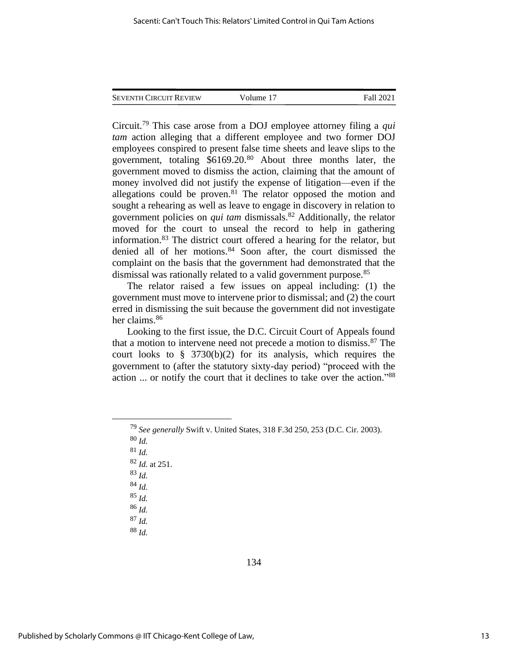| <b>SEVENTH CIRCUIT REVIEW</b> | Volume 17 | Fall 2021 |
|-------------------------------|-----------|-----------|
|                               |           |           |

Circuit.<sup>79</sup> This case arose from a DOJ employee attorney filing a *qui tam* action alleging that a different employee and two former DOJ employees conspired to present false time sheets and leave slips to the government, totaling  $$6169.20$ .<sup>80</sup> About three months later, the government moved to dismiss the action, claiming that the amount of money involved did not justify the expense of litigation—even if the allegations could be proven.<sup>81</sup> The relator opposed the motion and sought a rehearing as well as leave to engage in discovery in relation to government policies on *qui tam* dismissals.<sup>82</sup> Additionally, the relator moved for the court to unseal the record to help in gathering information.<sup>83</sup> The district court offered a hearing for the relator, but denied all of her motions.<sup>84</sup> Soon after, the court dismissed the complaint on the basis that the government had demonstrated that the dismissal was rationally related to a valid government purpose.<sup>85</sup>

The relator raised a few issues on appeal including: (1) the government must move to intervene prior to dismissal; and (2) the court erred in dismissing the suit because the government did not investigate her claims.<sup>86</sup>

Looking to the first issue, the D.C. Circuit Court of Appeals found that a motion to intervene need not precede a motion to dismiss.<sup>87</sup> The court looks to  $\S$  3730(b)(2) for its analysis, which requires the government to (after the statutory sixty-day period) "proceed with the action ... or notify the court that it declines to take over the action." 88

<sup>80</sup> *Id.*

<sup>81</sup> *Id.*

<sup>82</sup> *Id.* at 251.

<sup>83</sup> *Id.* <sup>84</sup> *Id.*

<sup>85</sup> *Id.*

<sup>86</sup> *Id.*

<sup>87</sup> *Id.*

<sup>88</sup> *Id.*

<sup>79</sup> *See generally* Swift v. United States, 318 F.3d 250, 253 (D.C. Cir. 2003).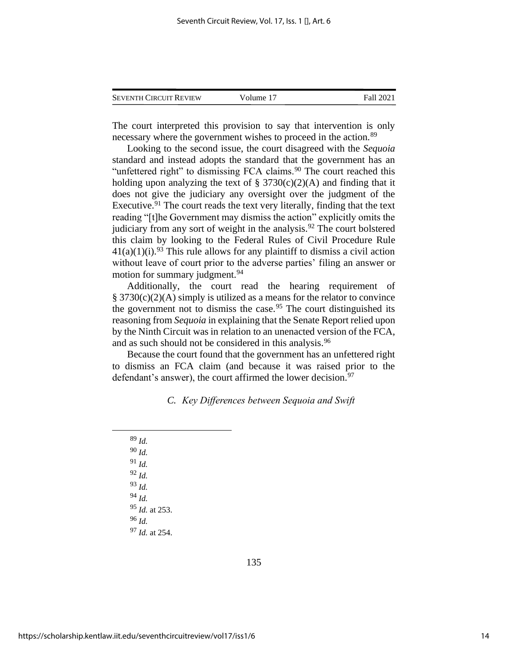| <b>SEVENTH CIRCUIT REVIEW</b> | Volume 17 | Fall 2021 |
|-------------------------------|-----------|-----------|
|-------------------------------|-----------|-----------|

The court interpreted this provision to say that intervention is only necessary where the government wishes to proceed in the action.<sup>89</sup>

Looking to the second issue, the court disagreed with the *Sequoia* standard and instead adopts the standard that the government has an "unfettered right" to dismissing FCA claims.<sup>90</sup> The court reached this holding upon analyzing the text of  $\S 3730(c)(2)(A)$  and finding that it does not give the judiciary any oversight over the judgment of the Executive.<sup>91</sup> The court reads the text very literally, finding that the text reading "[t]he Government may dismiss the action" explicitly omits the judiciary from any sort of weight in the analysis.<sup>92</sup> The court bolstered this claim by looking to the Federal Rules of Civil Procedure Rule  $41(a)(1)(i).$ <sup>93</sup> This rule allows for any plaintiff to dismiss a civil action without leave of court prior to the adverse parties' filing an answer or motion for summary judgment.<sup>94</sup>

Additionally, the court read the hearing requirement of  $§ 3730(c)(2)(A)$  simply is utilized as a means for the relator to convince the government not to dismiss the case.<sup>95</sup> The court distinguished its reasoning from *Sequoia* in explaining that the Senate Report relied upon by the Ninth Circuit was in relation to an unenacted version of the FCA, and as such should not be considered in this analysis.<sup>96</sup>

Because the court found that the government has an unfettered right to dismiss an FCA claim (and because it was raised prior to the defendant's answer), the court affirmed the lower decision.<sup>97</sup>

## *C. Key Differences between Sequoia and Swift*

<sup>89</sup> *Id.* <sup>90</sup> *Id.* <sup>91</sup> *Id.* <sup>92</sup> *Id.* <sup>93</sup> *Id.* <sup>94</sup> *Id.* <sup>95</sup> *Id.* at 253. <sup>96</sup> *Id.* <sup>97</sup> *Id.* at 254.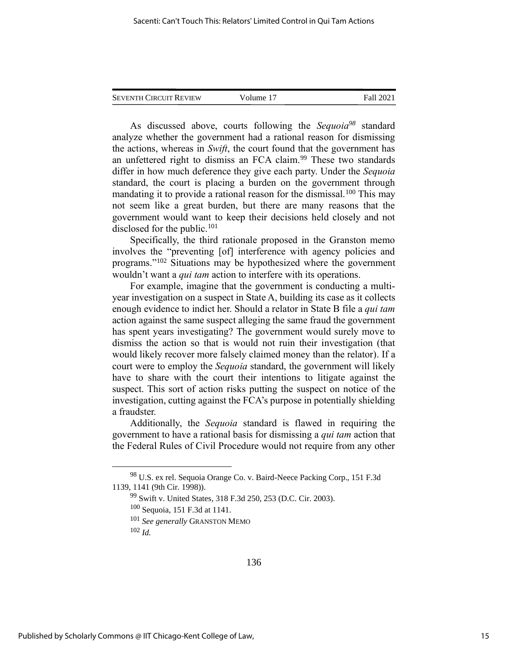As discussed above, courts following the *Sequoia<sup>98</sup>* standard analyze whether the government had a rational reason for dismissing the actions, whereas in *Swift*, the court found that the government has an unfettered right to dismiss an FCA claim.<sup>99</sup> These two standards differ in how much deference they give each party. Under the *Sequoia* standard, the court is placing a burden on the government through mandating it to provide a rational reason for the dismissal.<sup>100</sup> This may not seem like a great burden, but there are many reasons that the government would want to keep their decisions held closely and not disclosed for the public.<sup>101</sup>

Specifically, the third rationale proposed in the Granston memo involves the "preventing [of] interference with agency policies and programs."<sup>102</sup> Situations may be hypothesized where the government wouldn't want a *qui tam* action to interfere with its operations.

For example, imagine that the government is conducting a multiyear investigation on a suspect in State A, building its case as it collects enough evidence to indict her. Should a relator in State B file a *qui tam* action against the same suspect alleging the same fraud the government has spent years investigating? The government would surely move to dismiss the action so that is would not ruin their investigation (that would likely recover more falsely claimed money than the relator). If a court were to employ the *Sequoia* standard, the government will likely have to share with the court their intentions to litigate against the suspect. This sort of action risks putting the suspect on notice of the investigation, cutting against the FCA's purpose in potentially shielding a fraudster.

Additionally, the *Sequoia* standard is flawed in requiring the government to have a rational basis for dismissing a *qui tam* action that the Federal Rules of Civil Procedure would not require from any other

<sup>98</sup> U.S. ex rel. Sequoia Orange Co. v. Baird-Neece Packing Corp., 151 F.3d 1139, 1141 (9th Cir. 1998)).

<sup>99</sup> Swift v. United States, 318 F.3d 250, 253 (D.C. Cir. 2003).

<sup>100</sup> Sequoia, 151 F.3d at 1141.

<sup>101</sup> *See generally* GRANSTON MEMO

<sup>102</sup> *Id.*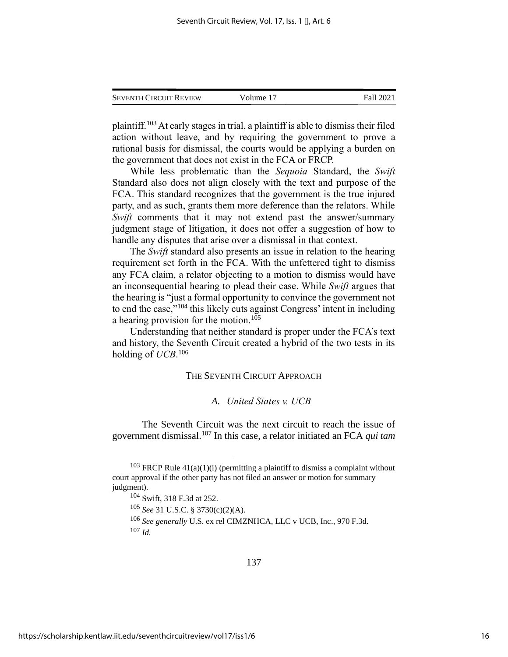| <b>SEVENTH CIRCUIT REVIEW</b> | Volume 17 | Fall 2021 |
|-------------------------------|-----------|-----------|
|                               |           |           |

plaintiff.<sup>103</sup> At early stages in trial, a plaintiff is able to dismiss their filed action without leave, and by requiring the government to prove a rational basis for dismissal, the courts would be applying a burden on the government that does not exist in the FCA or FRCP.

While less problematic than the *Sequoia* Standard, the *Swift* Standard also does not align closely with the text and purpose of the FCA. This standard recognizes that the government is the true injured party, and as such, grants them more deference than the relators. While *Swift* comments that it may not extend past the answer/summary judgment stage of litigation, it does not offer a suggestion of how to handle any disputes that arise over a dismissal in that context.

The *Swift* standard also presents an issue in relation to the hearing requirement set forth in the FCA. With the unfettered tight to dismiss any FCA claim, a relator objecting to a motion to dismiss would have an inconsequential hearing to plead their case. While *Swift* argues that the hearing is "just a formal opportunity to convince the government not to end the case,"<sup>104</sup> this likely cuts against Congress' intent in including a hearing provision for the motion. 105

Understanding that neither standard is proper under the FCA's text and history, the Seventh Circuit created a hybrid of the two tests in its holding of *UCB*. 106

#### THE SEVENTH CIRCUIT APPROACH

### *A. United States v. UCB*

The Seventh Circuit was the next circuit to reach the issue of government dismissal. <sup>107</sup> In this case, a relator initiated an FCA *qui tam* 

<sup>&</sup>lt;sup>103</sup> FRCP Rule  $41(a)(1)(i)$  (permitting a plaintiff to dismiss a complaint without court approval if the other party has not filed an answer or motion for summary judgment).

<sup>104</sup> Swift, 318 F.3d at 252.

<sup>105</sup> *See* 31 U.S.C. § 3730(c)(2)(A).

<sup>106</sup> *See generally* U.S. ex rel CIMZNHCA, LLC v UCB, Inc., 970 F.3d. <sup>107</sup> *Id.*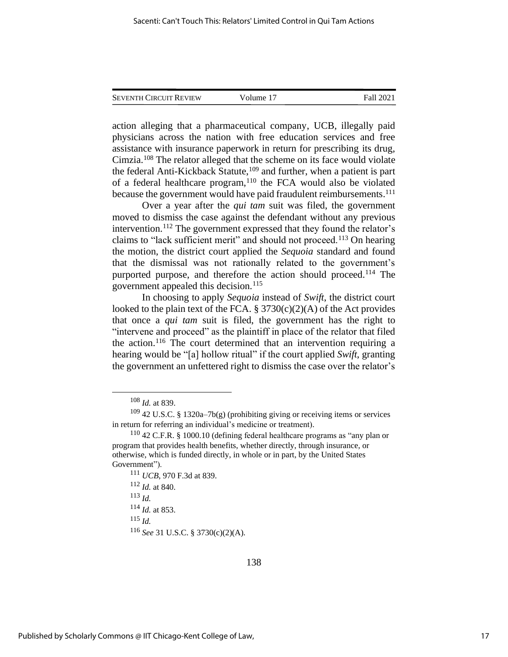| <b>SEVENTH CIRCUIT REVIEW</b> | Volume 17 | Fall 2021 |
|-------------------------------|-----------|-----------|
|                               |           |           |

action alleging that a pharmaceutical company, UCB, illegally paid physicians across the nation with free education services and free assistance with insurance paperwork in return for prescribing its drug, Cimzia. <sup>108</sup> The relator alleged that the scheme on its face would violate the federal Anti-Kickback Statute,<sup>109</sup> and further, when a patient is part of a federal healthcare program, $110$  the FCA would also be violated because the government would have paid fraudulent reimbursements.<sup>111</sup>

Over a year after the *qui tam* suit was filed, the government moved to dismiss the case against the defendant without any previous intervention. <sup>112</sup> The government expressed that they found the relator's claims to "lack sufficient merit" and should not proceed.<sup>113</sup> On hearing the motion, the district court applied the *Sequoia* standard and found that the dismissal was not rationally related to the government's purported purpose, and therefore the action should proceed.<sup>114</sup> The government appealed this decision.<sup>115</sup>

In choosing to apply *Sequoia* instead of *Swift*, the district court looked to the plain text of the FCA.  $\S 3730(c)(2)(A)$  of the Act provides that once a *qui tam* suit is filed, the government has the right to "intervene and proceed" as the plaintiff in place of the relator that filed the action.<sup>116</sup> The court determined that an intervention requiring a hearing would be "[a] hollow ritual" if the court applied *Swift*, granting the government an unfettered right to dismiss the case over the relator's

<sup>115</sup> *Id.*

<sup>116</sup> *See* 31 U.S.C. § 3730(c)(2)(A).

<sup>108</sup> *Id.* at 839.

<sup>109</sup> 42 U.S.C. § 1320a–7b(g) (prohibiting giving or receiving items or services in return for referring an individual's medicine or treatment).

<sup>110</sup> 42 C.F.R. § 1000.10 (defining federal healthcare programs as "any plan or program that provides health benefits, whether directly, through insurance, or otherwise, which is funded directly, in whole or in part, by the United States Government").

<sup>111</sup> *UCB*, 970 F.3d at 839.

<sup>112</sup> *Id.* at 840.

<sup>113</sup> *Id.*

<sup>114</sup> *Id.* at 853.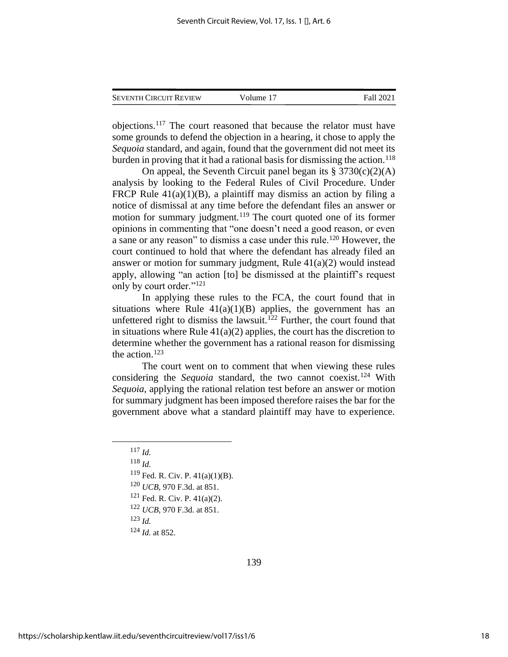objections.<sup>117</sup> The court reasoned that because the relator must have some grounds to defend the objection in a hearing, it chose to apply the *Sequoia* standard, and again, found that the government did not meet its burden in proving that it had a rational basis for dismissing the action.<sup>118</sup>

On appeal, the Seventh Circuit panel began its  $\S 3730(c)(2)(A)$ analysis by looking to the Federal Rules of Civil Procedure. Under FRCP Rule  $41(a)(1)(B)$ , a plaintiff may dismiss an action by filing a notice of dismissal at any time before the defendant files an answer or motion for summary judgment.<sup>119</sup> The court quoted one of its former opinions in commenting that "one doesn't need a good reason, or even a sane or any reason" to dismiss a case under this rule.<sup>120</sup> However, the court continued to hold that where the defendant has already filed an answer or motion for summary judgment, Rule  $41(a)(2)$  would instead apply, allowing "an action [to] be dismissed at the plaintiff's request only by court order."<sup>121</sup>

In applying these rules to the FCA, the court found that in situations where Rule  $41(a)(1)(B)$  applies, the government has an unfettered right to dismiss the lawsuit.<sup>122</sup> Further, the court found that in situations where Rule  $41(a)(2)$  applies, the court has the discretion to determine whether the government has a rational reason for dismissing the action.<sup>123</sup>

The court went on to comment that when viewing these rules considering the *Sequoia* standard, the two cannot coexist.<sup>124</sup> With *Sequoia*, applying the rational relation test before an answer or motion for summary judgment has been imposed therefore raises the bar for the government above what a standard plaintiff may have to experience.

<sup>118</sup> *Id.*

<sup>119</sup> Fed. R. Civ. P. 41(a)(1)(B).

<sup>120</sup> *UCB*, 970 F.3d. at 851.

<sup>121</sup> Fed. R. Civ. P. 41(a)(2).

<sup>122</sup> *UCB*, 970 F.3d. at 851.

<sup>123</sup> *Id.*

<sup>124</sup> *Id.* at 852.

<sup>117</sup> *Id.*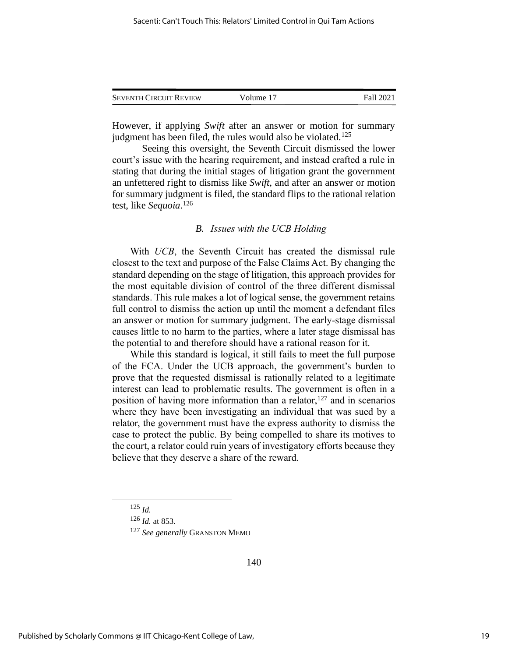| <b>SEVENTH CIRCUIT REVIEW</b> | Volume 17 | Fall 2021 |
|-------------------------------|-----------|-----------|
|                               |           |           |

However, if applying *Swift* after an answer or motion for summary judgment has been filed, the rules would also be violated.<sup>125</sup>

Seeing this oversight, the Seventh Circuit dismissed the lower court's issue with the hearing requirement, and instead crafted a rule in stating that during the initial stages of litigation grant the government an unfettered right to dismiss like *Swift*, and after an answer or motion for summary judgment is filed, the standard flips to the rational relation test, like *Sequoia*. 126

## *B. Issues with the UCB Holding*

With *UCB*, the Seventh Circuit has created the dismissal rule closest to the text and purpose of the False Claims Act. By changing the standard depending on the stage of litigation, this approach provides for the most equitable division of control of the three different dismissal standards. This rule makes a lot of logical sense, the government retains full control to dismiss the action up until the moment a defendant files an answer or motion for summary judgment. The early-stage dismissal causes little to no harm to the parties, where a later stage dismissal has the potential to and therefore should have a rational reason for it.

While this standard is logical, it still fails to meet the full purpose of the FCA. Under the UCB approach, the government's burden to prove that the requested dismissal is rationally related to a legitimate interest can lead to problematic results. The government is often in a position of having more information than a relator, <sup>127</sup> and in scenarios where they have been investigating an individual that was sued by a relator, the government must have the express authority to dismiss the case to protect the public. By being compelled to share its motives to the court, a relator could ruin years of investigatory efforts because they believe that they deserve a share of the reward.

<sup>125</sup> *Id.*

<sup>126</sup> *Id.* at 853.

<sup>127</sup> *See generally* GRANSTON MEMO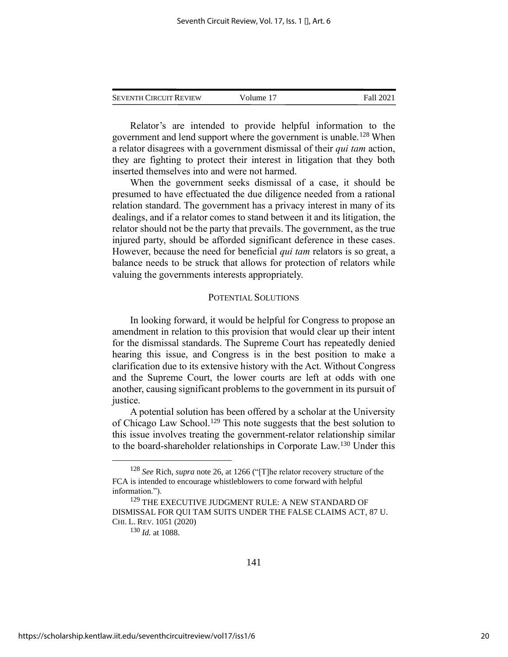| <b>SEVENTH CIRCUIT REVIEW</b> | Volume 17 | Fall 2021 |
|-------------------------------|-----------|-----------|
|                               |           |           |

Relator's are intended to provide helpful information to the government and lend support where the government is unable.<sup>128</sup> When a relator disagrees with a government dismissal of their *qui tam* action, they are fighting to protect their interest in litigation that they both inserted themselves into and were not harmed.

When the government seeks dismissal of a case, it should be presumed to have effectuated the due diligence needed from a rational relation standard. The government has a privacy interest in many of its dealings, and if a relator comes to stand between it and its litigation, the relator should not be the party that prevails. The government, as the true injured party, should be afforded significant deference in these cases. However, because the need for beneficial *qui tam* relators is so great, a balance needs to be struck that allows for protection of relators while valuing the governments interests appropriately.

#### POTENTIAL SOLUTIONS

In looking forward, it would be helpful for Congress to propose an amendment in relation to this provision that would clear up their intent for the dismissal standards. The Supreme Court has repeatedly denied hearing this issue, and Congress is in the best position to make a clarification due to its extensive history with the Act. Without Congress and the Supreme Court, the lower courts are left at odds with one another, causing significant problems to the government in its pursuit of justice.

A potential solution has been offered by a scholar at the University of Chicago Law School.<sup>129</sup> This note suggests that the best solution to this issue involves treating the government-relator relationship similar to the board-shareholder relationships in Corporate Law.<sup>130</sup> Under this

<sup>128</sup> *See* Rich, *supra* note 26, at 1266 ("[T]he relator recovery structure of the FCA is intended to encourage whistleblowers to come forward with helpful information.").

<sup>129</sup> THE EXECUTIVE JUDGMENT RULE: A NEW STANDARD OF DISMISSAL FOR QUI TAM SUITS UNDER THE FALSE CLAIMS ACT, 87 U. CHI. L. REV. 1051 (2020)

<sup>130</sup> *Id.* at 1088.